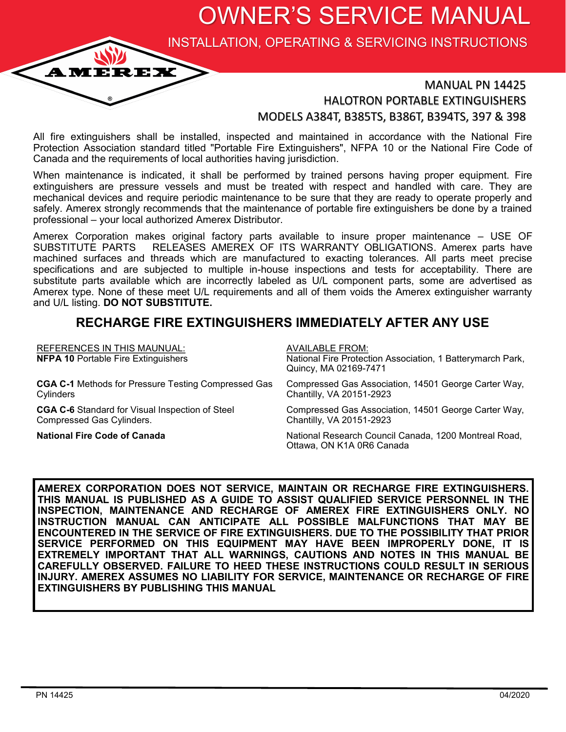OWNER'S SERVICE MANUAL

INSTALLATION, OPERATING & SERVICING INSTRUCTIONS

## MANUAL PN 14425 HALOTRON PORTABLE EXTINGUISHERS MODELS A384T, B385TS, B386T, B394TS, 397 & 398

All fire extinguishers shall be installed, inspected and maintained in accordance with the National Fire Protection Association standard titled "Portable Fire Extinguishers", NFPA 10 or the National Fire Code of Canada and the requirements of local authorities having jurisdiction.

When maintenance is indicated, it shall be performed by trained persons having proper equipment. Fire extinguishers are pressure vessels and must be treated with respect and handled with care. They are mechanical devices and require periodic maintenance to be sure that they are ready to operate properly and safely. Amerex strongly recommends that the maintenance of portable fire extinguishers be done by a trained professional – your local authorized Amerex Distributor.

Amerex Corporation makes original factory parts available to insure proper maintenance – USE OF SUBSTITUTE PARTS RELEASES AMEREX OF ITS WARRANTY OBLIGATIONS. Amerex parts have machined surfaces and threads which are manufactured to exacting tolerances. All parts meet precise specifications and are subjected to multiple in-house inspections and tests for acceptability. There are substitute parts available which are incorrectly labeled as U/L component parts, some are advertised as Amerex type. None of these meet U/L requirements and all of them voids the Amerex extinguisher warranty and U/L listing. **DO NOT SUBSTITUTE.**

# **RECHARGE FIRE EXTINGUISHERS IMMEDIATELY AFTER ANY USE**

| <b>REFERENCES IN THIS MAUNUAL:</b><br><b>NFPA 10 Portable Fire Extinguishers</b> | <b>AVAILABLE FROM:</b><br>National Fire Protection Association, 1 Batterymarch Park,<br>Quincy, MA 02169-7471 |
|----------------------------------------------------------------------------------|---------------------------------------------------------------------------------------------------------------|
| <b>CGA C-1</b> Methods for Pressure Testing Compressed Gas                       | Compressed Gas Association, 14501 George Carter Way,                                                          |
| Cylinders                                                                        | Chantilly, VA 20151-2923                                                                                      |
| <b>CGA C-6</b> Standard for Visual Inspection of Steel                           | Compressed Gas Association, 14501 George Carter Way,                                                          |
| Compressed Gas Cylinders.                                                        | Chantilly, VA 20151-2923                                                                                      |
| <b>National Fire Code of Canada</b>                                              | National Research Council Canada, 1200 Montreal Road,<br>Ottawa, ON K1A 0R6 Canada                            |

**AMEREX CORPORATION DOES NOT SERVICE, MAINTAIN OR RECHARGE FIRE EXTINGUISHERS. THIS MANUAL IS PUBLISHED AS A GUIDE TO ASSIST QUALIFIED SERVICE PERSONNEL IN THE INSPECTION, MAINTENANCE AND RECHARGE OF AMEREX FIRE EXTINGUISHERS ONLY. NO INSTRUCTION MANUAL CAN ANTICIPATE ALL POSSIBLE MALFUNCTIONS THAT MAY BE ENCOUNTERED IN THE SERVICE OF FIRE EXTINGUISHERS. DUE TO THE POSSIBILITY THAT PRIOR SERVICE PERFORMED ON THIS EQUIPMENT MAY HAVE BEEN IMPROPERLY DONE, IT IS EXTREMELY IMPORTANT THAT ALL WARNINGS, CAUTIONS AND NOTES IN THIS MANUAL BE CAREFULLY OBSERVED. FAILURE TO HEED THESE INSTRUCTIONS COULD RESULT IN SERIOUS INJURY. AMEREX ASSUMES NO LIABILITY FOR SERVICE, MAINTENANCE OR RECHARGE OF FIRE EXTINGUISHERS BY PUBLISHING THIS MANUAL** 

**AMEREX**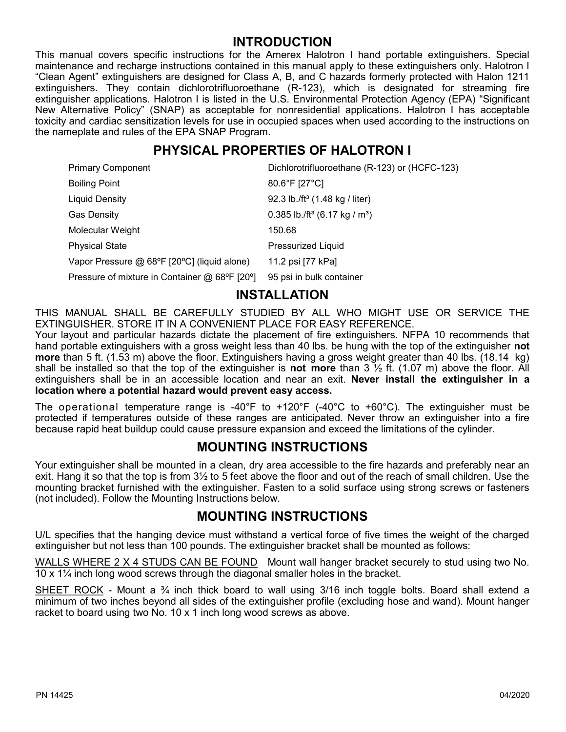## **INTRODUCTION**

This manual covers specific instructions for the Amerex Halotron I hand portable extinguishers. Special maintenance and recharge instructions contained in this manual apply to these extinguishers only. Halotron I "Clean Agent" extinguishers are designed for Class A, B, and C hazards formerly protected with Halon 1211 extinguishers. They contain dichlorotrifluoroethane (R-123), which is designated for streaming fire extinguisher applications. Halotron I is listed in the U.S. Environmental Protection Agency (EPA) "Significant New Alternative Policy" (SNAP) as acceptable for nonresidential applications. Halotron I has acceptable toxicity and cardiac sensitization levels for use in occupied spaces when used according to the instructions on the nameplate and rules of the EPA SNAP Program.

# **PHYSICAL PROPERTIES OF HALOTRON I**

| <b>Primary Component</b>                      | Dichlorotrifluoroethane (R-123) or (HCFC-123)         |
|-----------------------------------------------|-------------------------------------------------------|
| <b>Boiling Point</b>                          | 80.6°F [27°C]                                         |
| <b>Liquid Density</b>                         | 92.3 lb./ft <sup>3</sup> (1.48 kg / liter)            |
| <b>Gas Density</b>                            | 0.385 lb./ft <sup>3</sup> (6.17 kg / m <sup>3</sup> ) |
| Molecular Weight                              | 150.68                                                |
| <b>Physical State</b>                         | <b>Pressurized Liquid</b>                             |
| Vapor Pressure @ 68°F [20°C] (liquid alone)   | 11.2 psi [77 kPa]                                     |
| Pressure of mixture in Container @ 68°F [20°] | 95 psi in bulk container                              |

## **INSTALLATION**

THIS MANUAL SHALL BE CAREFULLY STUDIED BY ALL WHO MIGHT USE OR SERVICE THE EXTINGUISHER. STORE IT IN A CONVENIENT PLACE FOR EASY REFERENCE.

Your layout and particular hazards dictate the placement of fire extinguishers. NFPA 10 recommends that hand portable extinguishers with a gross weight less than 40 lbs. be hung with the top of the extinguisher **not more** than 5 ft. (1.53 m) above the floor. Extinguishers having a gross weight greater than 40 lbs. (18.14 kg) shall be installed so that the top of the extinguisher is **not more** than 3 ½ ft. (1.07 m) above the floor. All extinguishers shall be in an accessible location and near an exit. **Never install the extinguisher in a location where a potential hazard would prevent easy access.**

The operational temperature range is -40°F to +120°F (-40°C to +60°C). The extinguisher must be protected if temperatures outside of these ranges are anticipated. Never throw an extinguisher into a fire because rapid heat buildup could cause pressure expansion and exceed the limitations of the cylinder.

## **MOUNTING INSTRUCTIONS**

Your extinguisher shall be mounted in a clean, dry area accessible to the fire hazards and preferably near an exit. Hang it so that the top is from 3½ to 5 feet above the floor and out of the reach of small children. Use the mounting bracket furnished with the extinguisher. Fasten to a solid surface using strong screws or fasteners (not included). Follow the Mounting Instructions below.

## **MOUNTING INSTRUCTIONS**

U/L specifies that the hanging device must withstand a vertical force of five times the weight of the charged extinguisher but not less than 100 pounds. The extinguisher bracket shall be mounted as follows:

WALLS WHERE 2 X 4 STUDS CAN BE FOUND Mount wall hanger bracket securely to stud using two No. 10 x 1¼ inch long wood screws through the diagonal smaller holes in the bracket.

SHEET ROCK - Mount a 34 inch thick board to wall using 3/16 inch toggle bolts. Board shall extend a minimum of two inches beyond all sides of the extinguisher profile (excluding hose and wand). Mount hanger racket to board using two No. 10 x 1 inch long wood screws as above.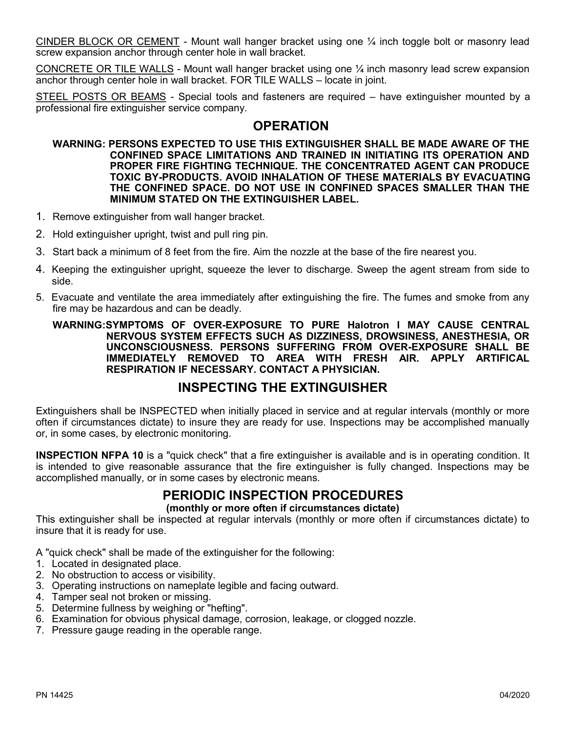CINDER BLOCK OR CEMENT - Mount wall hanger bracket using one  $\frac{1}{4}$  inch toggle bolt or masonry lead screw expansion anchor through center hole in wall bracket.

CONCRETE OR TILE WALLS - Mount wall hanger bracket using one  $\mathcal{V}_4$  inch masonry lead screw expansion anchor through center hole in wall bracket. FOR TILE WALLS – locate in joint.

STEEL POSTS OR BEAMS - Special tools and fasteners are required – have extinguisher mounted by a professional fire extinguisher service company.

### **OPERATION**

#### **WARNING: PERSONS EXPECTED TO USE THIS EXTINGUISHER SHALL BE MADE AWARE OF THE CONFINED SPACE LIMITATIONS AND TRAINED IN INITIATING ITS OPERATION AND PROPER FIRE FIGHTING TECHNIQUE. THE CONCENTRATED AGENT CAN PRODUCE TOXIC BY-PRODUCTS. AVOID INHALATION OF THESE MATERIALS BY EVACUATING THE CONFINED SPACE. DO NOT USE IN CONFINED SPACES SMALLER THAN THE MINIMUM STATED ON THE EXTINGUISHER LABEL.**

- 1. Remove extinguisher from wall hanger bracket.
- 2. Hold extinguisher upright, twist and pull ring pin.
- 3. Start back a minimum of 8 feet from the fire. Aim the nozzle at the base of the fire nearest you.
- 4. Keeping the extinguisher upright, squeeze the lever to discharge. Sweep the agent stream from side to side.
- 5. Evacuate and ventilate the area immediately after extinguishing the fire. The fumes and smoke from any fire may be hazardous and can be deadly.

#### **WARNING:SYMPTOMS OF OVER-EXPOSURE TO PURE Halotron I MAY CAUSE CENTRAL NERVOUS SYSTEM EFFECTS SUCH AS DIZZINESS, DROWSINESS, ANESTHESIA, OR UNCONSCIOUSNESS. PERSONS SUFFERING FROM OVER-EXPOSURE SHALL BE IMMEDIATELY REMOVED TO AREA WITH FRESH AIR. APPLY ARTIFICAL RESPIRATION IF NECESSARY. CONTACT A PHYSICIAN.**

## **INSPECTING THE EXTINGUISHER**

Extinguishers shall be INSPECTED when initially placed in service and at regular intervals (monthly or more often if circumstances dictate) to insure they are ready for use. Inspections may be accomplished manually or, in some cases, by electronic monitoring.

**INSPECTION NFPA 10** is a "quick check" that a fire extinguisher is available and is in operating condition. It is intended to give reasonable assurance that the fire extinguisher is fully changed. Inspections may be accomplished manually, or in some cases by electronic means.

## **PERIODIC INSPECTION PROCEDURES**

#### **(monthly or more often if circumstances dictate)**

This extinguisher shall be inspected at regular intervals (monthly or more often if circumstances dictate) to insure that it is ready for use.

A "quick check" shall be made of the extinguisher for the following:

- 1. Located in designated place.
- 2. No obstruction to access or visibility.
- 3. Operating instructions on nameplate legible and facing outward.
- 4. Tamper seal not broken or missing.
- 5. Determine fullness by weighing or "hefting".
- 6. Examination for obvious physical damage, corrosion, leakage, or clogged nozzle.
- 7. Pressure gauge reading in the operable range.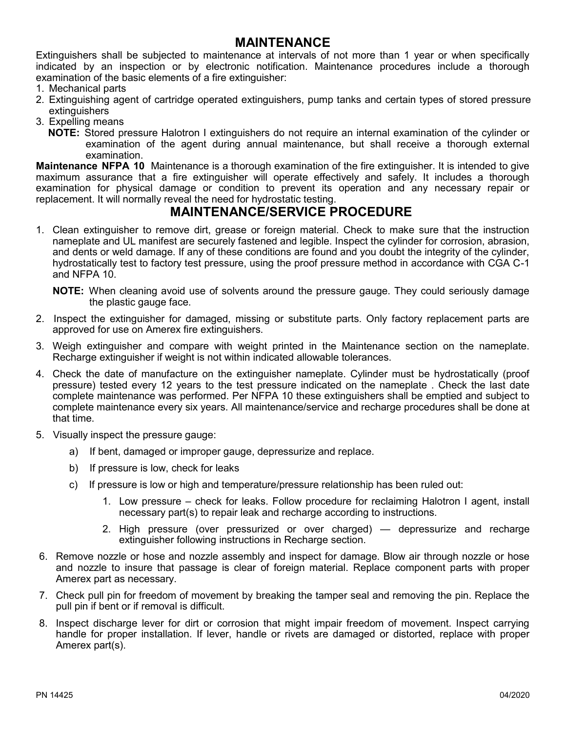### **MAINTENANCE**

Extinguishers shall be subjected to maintenance at intervals of not more than 1 year or when specifically indicated by an inspection or by electronic notification. Maintenance procedures include a thorough examination of the basic elements of a fire extinguisher:

- 1. Mechanical parts
- 2. Extinguishing agent of cartridge operated extinguishers, pump tanks and certain types of stored pressure extinguishers
- 3. Expelling means
	- **NOTE:** Stored pressure Halotron I extinguishers do not require an internal examination of the cylinder or examination of the agent during annual maintenance, but shall receive a thorough external examination.

**Maintenance NFPA 10** Maintenance is a thorough examination of the fire extinguisher. It is intended to give maximum assurance that a fire extinguisher will operate effectively and safely. It includes a thorough examination for physical damage or condition to prevent its operation and any necessary repair or replacement. It will normally reveal the need for hydrostatic testing.

# **MAINTENANCE/SERVICE PROCEDURE**

1. Clean extinguisher to remove dirt, grease or foreign material. Check to make sure that the instruction nameplate and UL manifest are securely fastened and legible. Inspect the cylinder for corrosion, abrasion, and dents or weld damage. If any of these conditions are found and you doubt the integrity of the cylinder, hydrostatically test to factory test pressure, using the proof pressure method in accordance with CGA C-1 and NFPA 10.

**NOTE:** When cleaning avoid use of solvents around the pressure gauge. They could seriously damage the plastic gauge face.

- 2. Inspect the extinguisher for damaged, missing or substitute parts. Only factory replacement parts are approved for use on Amerex fire extinguishers.
- 3. Weigh extinguisher and compare with weight printed in the Maintenance section on the nameplate. Recharge extinguisher if weight is not within indicated allowable tolerances.
- 4. Check the date of manufacture on the extinguisher nameplate. Cylinder must be hydrostatically (proof pressure) tested every 12 years to the test pressure indicated on the nameplate . Check the last date complete maintenance was performed. Per NFPA 10 these extinguishers shall be emptied and subject to complete maintenance every six years. All maintenance/service and recharge procedures shall be done at that time.
- 5. Visually inspect the pressure gauge:
	- a) If bent, damaged or improper gauge, depressurize and replace.
	- b) If pressure is low, check for leaks
	- c) If pressure is low or high and temperature/pressure relationship has been ruled out:
		- 1. Low pressure check for leaks. Follow procedure for reclaiming Halotron I agent, install necessary part(s) to repair leak and recharge according to instructions.
		- 2. High pressure (over pressurized or over charged) depressurize and recharge extinguisher following instructions in Recharge section.
- 6. Remove nozzle or hose and nozzle assembly and inspect for damage. Blow air through nozzle or hose and nozzle to insure that passage is clear of foreign material. Replace component parts with proper Amerex part as necessary.
- 7. Check pull pin for freedom of movement by breaking the tamper seal and removing the pin. Replace the pull pin if bent or if removal is difficult.
- 8. Inspect discharge lever for dirt or corrosion that might impair freedom of movement. Inspect carrying handle for proper installation. If lever, handle or rivets are damaged or distorted, replace with proper Amerex part(s).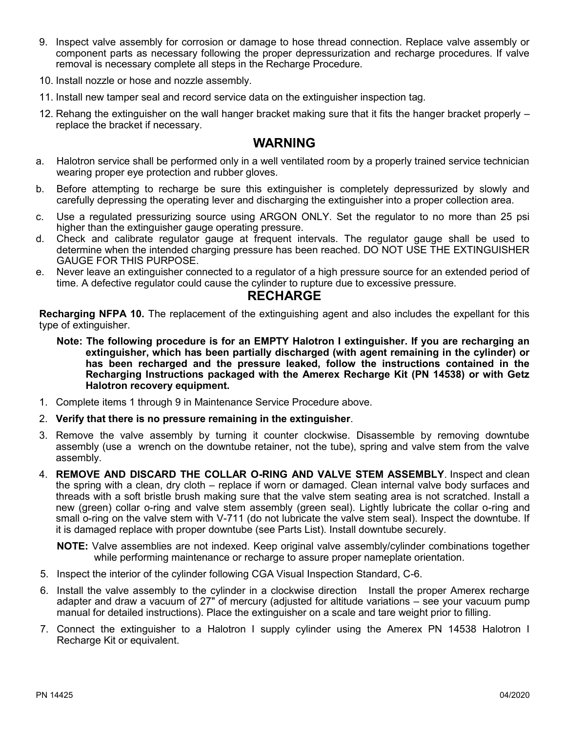- 9. Inspect valve assembly for corrosion or damage to hose thread connection. Replace valve assembly or component parts as necessary following the proper depressurization and recharge procedures. If valve removal is necessary complete all steps in the Recharge Procedure.
- 10. Install nozzle or hose and nozzle assembly.
- 11. Install new tamper seal and record service data on the extinguisher inspection tag.
- 12. Rehang the extinguisher on the wall hanger bracket making sure that it fits the hanger bracket properly replace the bracket if necessary.

### **WARNING**

- a. Halotron service shall be performed only in a well ventilated room by a properly trained service technician wearing proper eye protection and rubber gloves.
- b. Before attempting to recharge be sure this extinguisher is completely depressurized by slowly and carefully depressing the operating lever and discharging the extinguisher into a proper collection area.
- c. Use a regulated pressurizing source using ARGON ONLY. Set the regulator to no more than 25 psi higher than the extinguisher gauge operating pressure.
- d. Check and calibrate regulator gauge at frequent intervals. The regulator gauge shall be used to determine when the intended charging pressure has been reached. DO NOT USE THE EXTINGUISHER GAUGE FOR THIS PURPOSE.
- e. Never leave an extinguisher connected to a regulator of a high pressure source for an extended period of time. A defective regulator could cause the cylinder to rupture due to excessive pressure.

### **RECHARGE**

**Recharging NFPA 10.** The replacement of the extinguishing agent and also includes the expellant for this type of extinguisher.

- **Note: The following procedure is for an EMPTY Halotron I extinguisher. If you are recharging an extinguisher, which has been partially discharged (with agent remaining in the cylinder) or has been recharged and the pressure leaked, follow the instructions contained in the Recharging Instructions packaged with the Amerex Recharge Kit (PN 14538) or with Getz Halotron recovery equipment.**
- 1. Complete items 1 through 9 in Maintenance Service Procedure above.
- 2. **Verify that there is no pressure remaining in the extinguisher**.
- 3. Remove the valve assembly by turning it counter clockwise. Disassemble by removing downtube assembly (use a wrench on the downtube retainer, not the tube), spring and valve stem from the valve assembly.
- 4. **REMOVE AND DISCARD THE COLLAR O-RING AND VALVE STEM ASSEMBLY**. Inspect and clean the spring with a clean, dry cloth – replace if worn or damaged. Clean internal valve body surfaces and threads with a soft bristle brush making sure that the valve stem seating area is not scratched. Install a new (green) collar o-ring and valve stem assembly (green seal). Lightly lubricate the collar o-ring and small o-ring on the valve stem with V-711 (do not lubricate the valve stem seal). Inspect the downtube. If it is damaged replace with proper downtube (see Parts List). Install downtube securely.

**NOTE:** Valve assemblies are not indexed. Keep original valve assembly/cylinder combinations together while performing maintenance or recharge to assure proper nameplate orientation.

- 5. Inspect the interior of the cylinder following CGA Visual Inspection Standard, C-6.
- 6. Install the valve assembly to the cylinder in a clockwise direction Install the proper Amerex recharge adapter and draw a vacuum of 27" of mercury (adjusted for altitude variations - see your vacuum pump manual for detailed instructions). Place the extinguisher on a scale and tare weight prior to filling.
- 7. Connect the extinguisher to a Halotron I supply cylinder using the Amerex PN 14538 Halotron I Recharge Kit or equivalent.